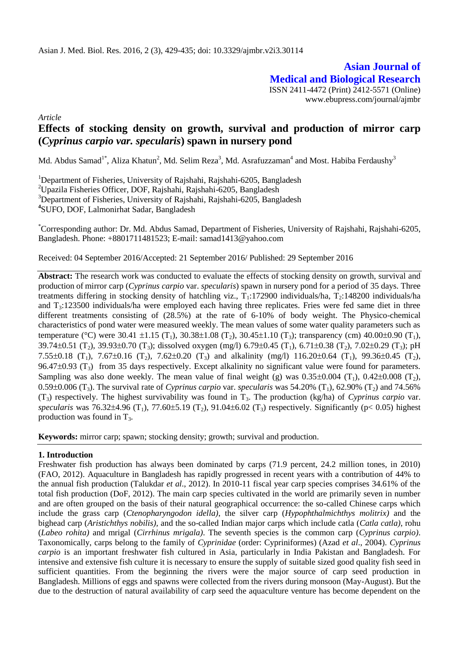**Asian Journal of Medical and Biological Research** ISSN 2411-4472 (Print) 2412-5571 (Online) www.ebupress.com/journal/ajmbr

*Article*

# **Effects of stocking density on growth, survival and production of mirror carp (***Cyprinus carpio var. specularis***) spawn in nursery pond**

Md. Abdus Samad<sup>1\*</sup>, Aliza Khatun<sup>2</sup>, Md. Selim Reza<sup>3</sup>, Md. Asrafuzzaman<sup>4</sup> and Most. Habiba Ferdaushy<sup>3</sup>

<sup>1</sup>Department of Fisheries, University of Rajshahi, Rajshahi-6205, Bangladesh <sup>2</sup>Upazila Fisheries Officer, DOF, Rajshahi, Rajshahi-6205, Bangladesh <sup>3</sup>Department of Fisheries, University of Rajshahi, Rajshahi-6205, Bangladesh **4** SUFO, DOF, Lalmonirhat Sadar, Bangladesh

\*Corresponding author: Dr. Md. Abdus Samad, Department of Fisheries, University of Rajshahi, Rajshahi-6205, Bangladesh. Phone: +8801711481523; [E-mail: samad1413@yahoo.com](mailto:E-mail:%20samad1413@yahoo.com)

Received: 04 September 2016/Accepted: 21 September 2016/ Published: 29 September 2016

**Abstract:** The research work was conducted to evaluate the effects of stocking density on growth, survival and production of mirror carp (*Cyprinus carpio* var. *specularis*) spawn in nursery pond for a period of 35 days. Three treatments differing in stocking density of hatchling viz.,  $T_1$ :172900 individuals/ha,  $T_2$ :148200 individuals/ha and T3:123500 individuals/ha were employed each having three replicates. Fries were fed same diet in three different treatments consisting of (28.5%) at the rate of 6-10% of body weight. The Physico-chemical characteristics of pond water were measured weekly. The mean values of some water quality parameters such as temperature (°C) were 30.41  $\pm 1.15$  (T<sub>1</sub>), 30.38 $\pm 1.08$  (T<sub>2</sub>), 30.45 $\pm 1.10$  (T<sub>3</sub>); transparency (cm) 40.00 $\pm 0.90$  (T<sub>1</sub>),  $39.74\pm0.51$  (T<sub>2</sub>),  $39.93\pm0.70$  (T<sub>3</sub>); dissolved oxygen (mg/l) 6.79 $\pm0.45$  (T<sub>1</sub>), 6.71 $\pm0.38$  (T<sub>2</sub>), 7.02 $\pm0.29$  (T<sub>3</sub>); pH 7.55±0.18 (T<sub>1</sub>), 7.67±0.16 (T<sub>2</sub>), 7.62±0.20 (T<sub>3</sub>) and alkalinity (mg/l) 116.20±0.64 (T<sub>1</sub>), 99.36±0.45 (T<sub>2</sub>), 96.47 $\pm$ 0.93 (T<sub>3</sub>) from 35 days respectively. Except alkalinity no significant value were found for parameters. Sampling was also done weekly. The mean value of final weight (g) was  $0.35\pm0.004$  (T<sub>1</sub>),  $0.42\pm0.008$  (T<sub>2</sub>), 0.59 $\pm$ 0.006 (T<sub>3</sub>). The survival rate of *Cyprinus carpio* var. *specularis* was 54.20% (T<sub>1</sub>), 62.90% (T<sub>2</sub>) and 74.56% (T3) respectively. The highest survivability was found in T3. The production (kg/ha) of *Cyprinus carpio* var. *specularis* was 76.32±4.96 (T<sub>1</sub>), 77.60±5.19 (T<sub>2</sub>), 91.04±6.02 (T<sub>3</sub>) respectively. Significantly (p< 0.05) highest production was found in  $T_3$ .

**Keywords:** mirror carp; spawn; stocking density; growth; survival and production.

# **1. Introduction**

Freshwater fish production has always been dominated by carps (71.9 percent, 24.2 million tones, in 2010) (FAO, 2012). Aquaculture in Bangladesh has rapidly progressed in recent years with a contribution of 44% to the annual fish production (Talukdar *et al*., 2012). In 2010-11 fiscal year carp species comprises 34.61% of the total fish production (DoF, 2012). The main carp species cultivated in the world are primarily seven in number and are often grouped on the basis of their natural geographical occurrence: the so-called Chinese carps which include the grass carp (*Ctenopharyngodon idella)*, the silver carp (*Hypophthalmichthys molitrix)* and the bighead carp (*Aristichthys nobilis),* and the so-called Indian major carps which include catla (*Catla catla)*, rohu (*Labeo rohita)* and mrigal (*Cirrhinus mrigala)*. The seventh species is the common carp (*Cyprinus carpio)*. Taxonomically, carps belong to the family of *Cyprinidae* (order: Cypriniformes) (Azad *et al*., 2004). *Cyprinus carpio* is an important freshwater fish cultured in Asia, particularly in India Pakistan and Bangladesh. For intensive and extensive fish culture it is necessary to ensure the supply of suitable sized good quality fish seed in sufficient quantities. From the beginning the rivers were the major source of carp seed production in Bangladesh. Millions of eggs and spawns were collected from the rivers during monsoon (May-August). But the due to the destruction of natural availability of carp seed the aquaculture venture has become dependent on the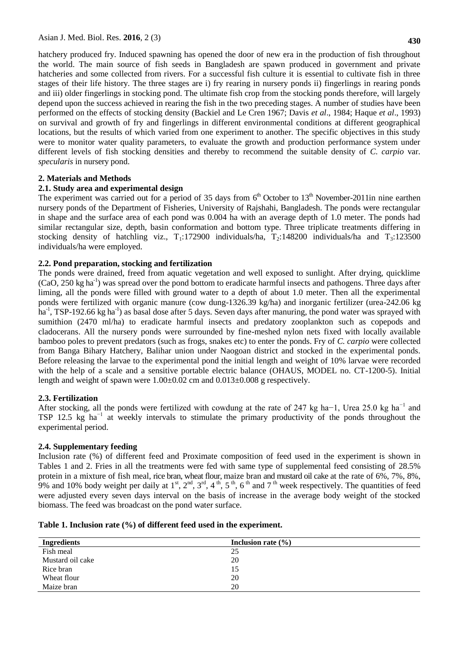**430**

hatchery produced fry. Induced spawning has opened the door of new era in the production of fish throughout the world. The main source of fish seeds in Bangladesh are spawn produced in government and private hatcheries and some collected from rivers. For a successful fish culture it is essential to cultivate fish in three stages of their life history. The three stages are i) fry rearing in nursery ponds ii) fingerlings in rearing ponds and iii) older fingerlings in stocking pond. The ultimate fish crop from the stocking ponds therefore, will largely depend upon the success achieved in rearing the fish in the two preceding stages. A number of studies have been performed on the effects of stocking density (Backiel and Le Cren 1967; Davis *et al*., 1984; Haque *et al*., 1993) on survival and growth of fry and fingerlings in different environmental conditions at different geographical locations, but the results of which varied from one experiment to another. The specific objectives in this study were to monitor water quality parameters, to evaluate the growth and production performance system under different levels of fish stocking densities and thereby to recommend the suitable density of *C. carpio* var*. specularis* in nursery pond.

# **2. Materials and Methods**

# **2.1. Study area and experimental design**

The experiment was carried out for a period of 35 days from  $6<sup>th</sup>$  October to 13<sup>th</sup> November-2011in nine earthen nursery ponds of the Department of Fisheries, University of Rajshahi, Bangladesh. The ponds were rectangular in shape and the surface area of each pond was 0.004 ha with an average depth of 1.0 meter. The ponds had similar rectangular size, depth, basin conformation and bottom type. Three triplicate treatments differing in stocking density of hatchling viz.,  $T_1$ :172900 individuals/ha,  $T_2$ :148200 individuals/ha and  $T_3$ :123500 individuals/ha were employed.

# **2.2. Pond preparation, stocking and fertilization**

The ponds were drained, freed from aquatic vegetation and well exposed to sunlight. After drying, quicklime (CaO, 250 kg ha<sup>-1</sup>) was spread over the pond bottom to eradicate harmful insects and pathogens. Three days after liming, all the ponds were filled with ground water to a depth of about 1.0 meter. Then all the experimental ponds were fertilized with organic manure (cow dung-1326.39 kg/ha) and inorganic fertilizer (urea-242.06 kg ha<sup>-1</sup>, TSP-192.66 kg ha<sup>-1</sup>) as basal dose after 5 days. Seven days after manuring, the pond water was sprayed with sumithion (2470 ml/ha) to eradicate harmful insects and predatory zooplankton such as copepods and cladocerans. All the nursery ponds were surrounded by fine-meshed nylon nets fixed with locally available bamboo poles to prevent predators (such as frogs, snakes etc) to enter the ponds. Fry of *C. carpio* were collected from Banga Bihary Hatchery, Balihar union under Naogoan district and stocked in the experimental ponds. Before releasing the larvae to the experimental pond the initial length and weight of 10% larvae were recorded with the help of a scale and a sensitive portable electric balance (OHAUS, MODEL no. CT-1200-5). Initial length and weight of spawn were  $1.00 \pm 0.02$  cm and  $0.013 \pm 0.008$  g respectively.

### **2.3. Fertilization**

After stocking, all the ponds were fertilized with cowdung at the rate of 247 kg ha−1, Urea 25.0 kg ha−1 and TSP 12.5 kg ha<sup>-1</sup> at weekly intervals to stimulate the primary productivity of the ponds throughout the experimental period.

### **2.4. Supplementary feeding**

Inclusion rate (%) of different feed and Proximate composition of feed used in the experiment is shown in Tables 1 and 2. Fries in all the treatments were fed with same type of supplemental feed consisting of 28.5% protein in a mixture of fish meal, rice bran, wheat flour, maize bran and mustard oil cake at the rate of 6%, 7%, 8%, 9% and 10% body weight per daily at  $1^{\text{st}}$ ,  $2^{\text{nd}}$ ,  $3^{\text{rd}}$ ,  $4^{\text{th}}$ ,  $5^{\text{th}}$ ,  $6^{\text{th}}$  and  $7^{\text{th}}$  week respectively. The quantities of feed were adjusted every seven days interval on the basis of increase in the average body weight of the stocked biomass. The feed was broadcast on the pond water surface.

| Table 1. Inclusion rate (%) of different feed used in the experiment. |  |  |  |  |  |  |  |
|-----------------------------------------------------------------------|--|--|--|--|--|--|--|
|-----------------------------------------------------------------------|--|--|--|--|--|--|--|

| <b>Ingredients</b> | Inclusion rate $(\% )$ |
|--------------------|------------------------|
| Fish meal          | 25                     |
| Mustard oil cake   | 20                     |
| Rice bran          | 15                     |
| Wheat flour        | 20                     |
| Maize bran         | 20                     |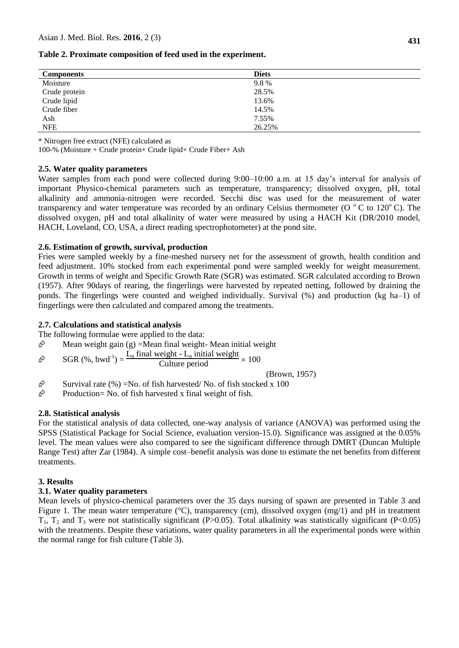| Table 2. Proximate composition of feed used in the experiment. |  |  |  |
|----------------------------------------------------------------|--|--|--|
|----------------------------------------------------------------|--|--|--|

| <b>Components</b> | <b>Diets</b> |
|-------------------|--------------|
| Moisture          | 9.8%         |
| Crude protein     | 28.5%        |
| Crude lipid       | 13.6%        |
| Crude fiber       | 14.5%        |
| Ash               | 7.55%        |
| <b>NFE</b>        | 26.25%       |

\* Nitrogen free extract (NFE) calculated as

100-% (Moisture + Crude protein+ Crude lipid+ Crude Fiber+ Ash

### **2.5. Water quality parameters**

Water samples from each pond were collected during 9:00–10:00 a.m. at 15 day's interval for analysis of important Physico-chemical parameters such as temperature, transparency; dissolved oxygen, pH, total alkalinity and ammonia-nitrogen were recorded. Secchi disc was used for the measurement of water transparency and water temperature was recorded by an ordinary Celsius thermometer ( $O^{\circ}$ C to 120<sup>o</sup>C). The dissolved oxygen, pH and total alkalinity of water were measured by using a HACH Kit (DR/2010 model, HACH, Loveland, CO, USA, a direct reading spectrophotometer) at the pond site.

#### **2.6. Estimation of growth, survival, production**

Fries were sampled weekly by a fine-meshed nursery net for the assessment of growth, health condition and feed adjustment. 10% stocked from each experimental pond were sampled weekly for weight measurement. Growth in terms of weight and Specific Growth Rate (SGR) was estimated. SGR calculated according to Brown (1957). After 90days of rearing, the fingerlings were harvested by repeated netting, followed by draining the ponds. The fingerlings were counted and weighed individually. Survival (%) and production (kg ha–1) of fingerlings were then calculated and compared among the treatments.

#### **2.7. Calculations and statistical analysis**

The following formulae were applied to the data:

 $\hat{\varphi}$  Mean weight gain (g) = Mean final weight- Mean initial weight

 $\hat{\mathcal{F}}$  SGR (%, bwd<sup>-1</sup>) =  $\frac{L_n \text{ final weight} - L_n \text{ initial weight}}{\text{Culture period}} \times 100$ 

(Brown, 1957)

 $\hat{\varphi}$  Survival rate (%) = No. of fish harvested/ No. of fish stocked x 100

 $\hat{\varphi}$  Production= No. of fish harvested x final weight of fish.

#### **2.8. Statistical analysis**

For the statistical analysis of data collected, one-way analysis of variance (ANOVA) was performed using the SPSS (Statistical Package for Social Science, evaluation version-15.0). Significance was assigned at the 0.05% level. The mean values were also compared to see the significant difference through DMRT (Duncan Multiple Range Test) after Zar (1984). A simple cost–benefit analysis was done to estimate the net benefits from different treatments.

#### **3. Results**

### **3.1. Water quality parameters**

Mean levels of physico-chemical parameters over the 35 days nursing of spawn are presented in Table 3 and Figure 1. The mean water temperature (°C), transparency (cm), dissolved oxygen (mg/1) and pH in treatment  $T_1$ ,  $T_2$  and  $T_3$  were not statistically significant (P>0.05). Total alkalinity was statistically significant (P<0.05) with the treatments. Despite these variations, water quality parameters in all the experimental ponds were within the normal range for fish culture (Table 3).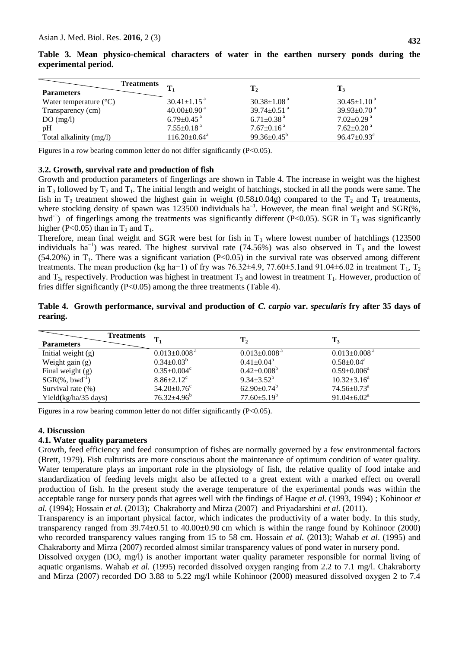|  | 432 |
|--|-----|
|  |     |

| <b>Treatments</b><br><b>Parameters</b> |                                | $T_{2}$                       | $\mathbf{T}_3$                |
|----------------------------------------|--------------------------------|-------------------------------|-------------------------------|
| Water temperature $(^{\circ}C)$        | $30.41 \pm 1.15$ <sup>a</sup>  | $30.38 \pm 1.08$ <sup>a</sup> | $30.45 \pm 1.10^{\text{a}}$   |
| Transparency (cm)                      | $40.00 \pm 0.90$ <sup>a</sup>  | $39.74 \pm 0.51$ <sup>a</sup> | $39.93 \pm 0.70$ <sup>a</sup> |
| DO(mg/l)                               | $6.79 \pm 0.45$ <sup>a</sup>   | $6.71 \pm 0.38$ <sup>a</sup>  | $7.02+0.29$ <sup>a</sup>      |
| pH                                     | $7.55{\pm}0.18$ a              | $7.67 \pm 0.16$ <sup>a</sup>  | $7.62{\pm}0.20^{\text{ a}}$   |
| Total alkalinity (mg/l)                | $116.20 \pm 0.64$ <sup>a</sup> | 99.36 $\pm$ 0.45 <sup>b</sup> | $96.47 \pm 0.93$ <sup>c</sup> |

|  |                      | Table 3. Mean physico-chemical characters of water in the earthen nursery ponds during the |  |  |  |  |  |
|--|----------------------|--------------------------------------------------------------------------------------------|--|--|--|--|--|
|  | experimental period. |                                                                                            |  |  |  |  |  |

Figures in a row bearing common letter do not differ significantly (P<0.05).

# **3.2. Growth, survival rate and production of fish**

Growth and production parameters of fingerlings are shown in Table 4. The increase in weight was the highest in  $T_3$  followed by  $T_2$  and  $T_1$ . The initial length and weight of hatchings, stocked in all the ponds were same. The fish in  $T_3$  treatment showed the highest gain in weight (0.58±0.04g) compared to the  $T_2$  and  $T_1$  treatments, where stocking density of spawn was 123500 individuals  $ha^{-1}$ . However, the mean final weight and SGR(%, bwd<sup>-1</sup>) of fingerlings among the treatments was significantly different (P<0.05). SGR in T<sub>3</sub> was significantly higher (P<0.05) than in  $T_2$  and  $T_1$ .

Therefore, mean final weight and SGR were best for fish in  $T_3$  where lowest number of hatchlings (123500) individuals ha<sup>-1</sup>) was reared. The highest survival rate (74.56%) was also observed in T<sub>3</sub> and the lowest (54.20%) in  $T_1$ . There was a significant variation (P<0.05) in the survival rate was observed among different treatments. The mean production (kg ha−1) of fry was 76.32±4.9, 77.60±5.1and 91.04±6.02 in treatment T<sub>1</sub>, T<sub>2</sub> and  $T_3$ , respectively. Production was highest in treatment  $T_3$  and lowest in treatment  $T_1$ . However, production of fries differ significantly (P<0.05) among the three treatments (Table 4).

# **Table 4. Growth performance, survival and production of** *C. carpio* **var.** *specularis* **fry after 35 days of rearing.**

| <b>Parameters</b>              | <b>Treatments</b>              | $\mathbf{T}_2$                 | $T_3$                          |  |
|--------------------------------|--------------------------------|--------------------------------|--------------------------------|--|
| Initial weight $(g)$           | $0.013 \pm 0.008$ <sup>a</sup> | $0.013 \pm 0.008$ <sup>a</sup> | $0.013 \pm 0.008$ <sup>a</sup> |  |
| Weight gain $(g)$              | $0.34 \pm 0.03^b$              | $0.41 \pm 0.04^b$              | $0.58 \pm 0.04^a$              |  |
| Final weight $(g)$             | $0.35 \pm 0.004$ <sup>c</sup>  | $0.42 \pm 0.008^b$             | $0.59 \pm 0.006^a$             |  |
| $SGR(\%$ , bwd <sup>-1</sup> ) | $8.86 \pm 2.12$ <sup>c</sup>   | $9.34 \pm 3.52^b$              | $10.32 \pm 3.16^a$             |  |
| Survival rate (%)              | $54.20 \pm 0.76$ <sup>c</sup>  | $62.90 \pm 0.74^b$             | $74.56 \pm 0.73$ <sup>a</sup>  |  |
| Yield(kg/ha/35 days)           | $76.32{\pm}4.96^b$             | $77.60 \pm 5.19^b$             | $91.04 \pm 6.02^a$             |  |

Figures in a row bearing common letter do not differ significantly (P<0.05).

# **4. Discussion**

### **4.1. Water quality parameters**

Growth, feed efficiency and feed consumption of fishes are normally governed by a few environmental factors (Brett, 1979). Fish culturists are more conscious about the maintenance of optimum condition of water quality. Water temperature plays an important role in the physiology of fish, the relative quality of food intake and standardization of feeding levels might also be affected to a great extent with a marked effect on overall production of fish. In the present study the average temperature of the experimental ponds was within the acceptable range for nursery ponds that agrees well with the findings of Haque *et al.* (1993, 1994) ; Kohinoor *et al.* (1994); Hossain *et al.* (2013); Chakraborty and Mirza (2007) and Priyadarshini *et al.* (2011).

Transparency is an important physical factor, which indicates the productivity of a water body. In this study, transparency ranged from  $39.74 \pm 0.51$  to  $40.00 \pm 0.90$  cm which is within the range found by Kohinoor (2000) who recorded transparency values ranging from 15 to 58 cm. Hossain *et al.* (2013); Wahab *et al.* (1995) and Chakraborty and Mirza (2007) recorded almost similar transparency values of pond water in nursery pond.

Dissolved oxygen (DO, mg/l) is another important water quality parameter responsible for normal living of aquatic organisms. Wahab *et al.* (1995) recorded dissolved oxygen ranging from 2.2 to 7.1 mg/l. Chakraborty and Mirza (2007) recorded DO 3.88 to 5.22 mg/l while Kohinoor (2000) measured dissolved oxygen 2 to 7.4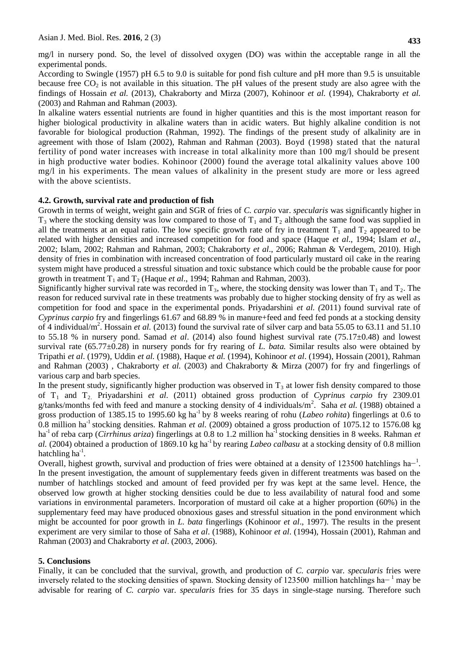mg/l in nursery pond. So, the level of dissolved oxygen (DO) was within the acceptable range in all the experimental ponds.

According to Swingle (1957) pH 6.5 to 9.0 is suitable for pond fish culture and pH more than 9.5 is unsuitable because free  $CO<sub>2</sub>$  is not available in this situation. The pH values of the present study are also agree with the findings of Hossain *et al.* (2013), Chakraborty and Mirza (2007), Kohinoor *et al.* (1994), Chakraborty *et al.* (2003) and Rahman and Rahman (2003).

In alkaline waters essential nutrients are found in higher quantities and this is the most important reason for higher biological productivity in alkaline waters than in acidic waters. But highly alkaline condition is not favorable for biological production (Rahman, 1992). The findings of the present study of alkalinity are in agreement with those of Islam (2002), Rahman and Rahman (2003). Boyd (1998) stated that the natural fertility of pond water increases with increase in total alkalinity more than 100 mg/l should be present in high productive water bodies. Kohinoor (2000) found the average total alkalinity values above 100 mg/l in his experiments. The mean values of alkalinity in the present study are more or less agreed with the above scientists.

# **4.2. Growth, survival rate and production of fish**

Growth in terms of weight, weight gain and SGR of fries of *C. carpio* var. *specularis* was significantly higher in  $T_3$  where the stocking density was low compared to those of  $T_1$  and  $T_2$  although the same food was supplied in all the treatments at an equal ratio. The low specific growth rate of fry in treatment  $T_1$  and  $T_2$  appeared to be related with higher densities and increased competition for food and space (Haque *et al*., 1994; Islam *et al*., 2002; Islam, 2002; Rahman and Rahman, 2003; Chakraborty *et al*., 2006; Rahman & Verdegem, 2010). High density of fries in combination with increased concentration of food particularly mustard oil cake in the rearing system might have produced a stressful situation and toxic substance which could be the probable cause for poor growth in treatment  $T_1$  and  $T_2$  (Haque *et al.*, 1994; Rahman and Rahman, 2003).

Significantly higher survival rate was recorded in  $T_3$ , where, the stocking density was lower than  $T_1$  and  $T_2$ . The reason for reduced survival rate in these treatments was probably due to higher stocking density of fry as well as competition for food and space in the experimental ponds. Priyadarshini *et al. (*2011) found survival rate of *Cyprinus carpio* fry and fingerlings 61.67 and 68.89 % in manure+feed and feed fed ponds at a stocking density of 4 individual/m<sup>2</sup>. Hossain *et al.* (2013) found the survival rate of silver carp and bata 55.05 to 63.11 and 51.10 to 55.18 % in nursery pond. Samad *et al*. (2014) also found highest survival rate (75.17±0.48) and lowest survival rate (65.77±0.28) in nursery ponds for fry rearing of *L. bata.* Similar results also were obtained by Tripathi *et al*. (1979), Uddin *et al.* (1988), Haque *et al.* (1994), Kohinoor *et al*. (1994), Hossain (2001), Rahman and Rahman (2003) , Chakraborty *et al.* (2003) and Chakraborty & Mirza (2007) for fry and fingerlings of various carp and barb species.

In the present study, significantly higher production was observed in  $T_3$  at lower fish density compared to those of T<sup>1</sup> and T2. Priyadarshini *et al.* (2011) obtained gross production of *Cyprinus carpio* fry 2309.01 g/tanks/months fed with feed and manure a stocking density of 4 individuals/m<sup>2</sup>. Saha *et al.* (1988) obtained a gross production of 1385.15 to 1995.60 kg ha<sup>-1</sup> by 8 weeks rearing of rohu (*Labeo rohita*) fingerlings at 0.6 to 0.8 million ha-1 stocking densities. Rahman *et al.* (2009) obtained a gross production of 1075.12 to 1576.08 kg ha<sup>-1</sup> of reba carp (*Cirrhinus ariza*) fingerlings at 0.8 to 1.2 million ha<sup>-1</sup> stocking densities in 8 weeks. Rahman *et al.* (2004) obtained a production of 1869.10 kg ha-1 by rearing *Labeo calbasu* at a stocking density of 0.8 million hatchling  $ha^{-1}$ .

Overall, highest growth, survival and production of fries were obtained at a density of 123500 hatchlings ha<sup>-1</sup>. In the present investigation, the amount of supplementary feeds given in different treatments was based on the number of hatchlings stocked and amount of feed provided per fry was kept at the same level. Hence, the observed low growth at higher stocking densities could be due to less availability of natural food and some variations in environmental parameters. Incorporation of mustard oil cake at a higher proportion (60%) in the supplementary feed may have produced obnoxious gases and stressful situation in the pond environment which might be accounted for poor growth in *L. bata* fingerlings (Kohinoor *et al*., 1997). The results in the present experiment are very similar to those of Saha *et al*. (1988), Kohinoor *et al*. (1994), Hossain (2001), Rahman and Rahman (2003) and Chakraborty *et al*. (2003, 2006).

# **5. Conclusions**

Finally, it can be concluded that the survival, growth, and production of *C. carpio* var*. specularis* fries were inversely related to the stocking densities of spawn. Stocking density of 123500 million hatchlings ha− <sup>1</sup> may be advisable for rearing of *C. carpio* var. *specularis* fries for 35 days in single-stage nursing. Therefore such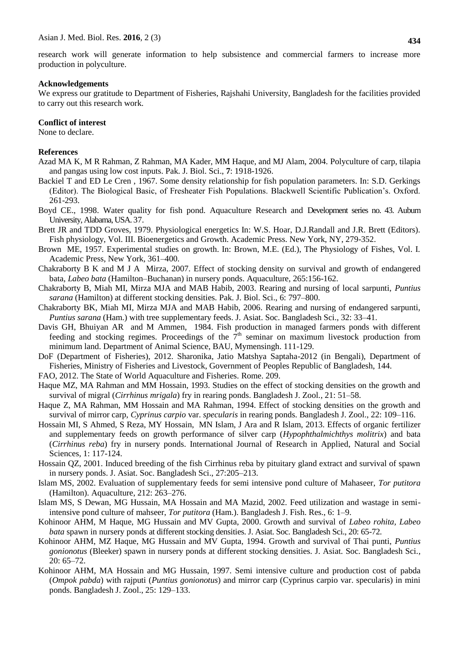research work will generate information to help subsistence and commercial farmers to increase more production in polyculture.

#### **Acknowledgements**

We express our gratitude to Department of Fisheries, Rajshahi University, Bangladesh for the facilities provided to carry out this research work.

### **Conflict of interest**

None to declare.

### **References**

- Azad MA K, M R Rahman, Z Rahman, MA Kader, MM Haque, and MJ Alam, 2004. Polyculture of carp, tilapia and pangas using low cost inputs. Pak. J. Biol. Sci., **7**: 1918-1926.
- Backiel T and ED Le Cren , 1967. Some density relationship for fish population parameters. In: S.D. Gerkings (Editor). The Biological Basic, of Fresheater Fish Populations. Blackwell Scientific Publication's. Oxford. 261-293.
- Boyd CE., 1998. Water quality for fish pond. Aquaculture Research and Development series no. 43. Auburn University, Alabama, USA. 37.
- Brett JR and TDD Groves, 1979. Physiological energetics In: W.S. Hoar, D.J.Randall and J.R. Brett (Editors). Fish physiology, Vol. III. Bioenergetics and Growth. Academic Press. New York, NY, 279-352.
- Brown ME, 1957. Experimental studies on growth. In: Brown, M.E. (Ed.), The Physiology of Fishes, Vol. I. Academic Press, New York, 361–400.
- Chakraborty B K and M J A Mirza, 2007. Effect of stocking density on survival and growth of endangered bata, *Labeo bata* (Hamilton–Buchanan) in nursery ponds. Aquaculture, 265:156-162.
- Chakraborty B, Miah MI, Mirza MJA and MAB Habib, 2003. Rearing and nursing of local sarpunti, *Puntius sarana* (Hamilton) at different stocking densities. Pak. J. Biol. Sci., 6: 797–800.
- Chakraborty BK, Miah MI, Mirza MJA and MAB Habib, 2006. Rearing and nursing of endangered sarpunti, *Puntius sarana* (Ham.) with tree supplementary feeds. J. Asiat. Soc. Bangladesh Sci., 32: 33–41.
- Davis GH, Bhuiyan AR and M Ammen, 1984. Fish production in managed farmers ponds with different feeding and stocking regimes. Proceedings of the  $\hat{\tau}^{\text{th}}$  seminar on maximum livestock production from minimum land. Department of Animal Science, BAU, Mymensingh. 111-129.
- DoF (Department of Fisheries), 2012. Sharonika, Jatio Matshya Saptaha-2012 (in Bengali), Department of Fisheries, Ministry of Fisheries and Livestock, Government of Peoples Republic of Bangladesh, 144.
- FAO, 2012. The State of World Aquaculture and Fisheries. Rome. 209.
- Haque MZ, MA Rahman and MM Hossain, 1993. Studies on the effect of stocking densities on the growth and survival of migral (*Cirrhinus mrigala*) fry in rearing ponds. Bangladesh J. Zool*.*, 21: 51–58.
- Haque Z, MA Rahman, MM Hossain and MA Rahman, 1994. Effect of stocking densities on the growth and survival of mirror carp, *Cyprinus carpio* var. *specularis* in rearing ponds. Bangladesh J. Zool., 22: 109–116.
- Hossain MI, S Ahmed, S Reza, MY Hossain, MN Islam, J Ara and R Islam, 2013. Effects of organic fertilizer and supplementary feeds on growth performance of silver carp (*Hypophthalmichthys molitrix*) and bata (*Cirrhinus reba*) fry in nursery ponds. International Journal of Research in Applied, Natural and Social Sciences*,* 1: 117-124.
- Hossain QZ, 2001. Induced breeding of the fish Cirrhinus reba by pituitary gland extract and survival of spawn in nursery ponds. J. Asiat. Soc. Bangladesh Sci., 27:205–213.
- Islam MS, 2002. Evaluation of supplementary feeds for semi intensive pond culture of Mahaseer, *Tor putitora* (Hamilton). Aquaculture, 212: 263–276.
- Islam MS, S Dewan, MG Hussain, MA Hossain and MA Mazid, 2002. Feed utilization and wastage in semiintensive pond culture of mahseer, *Tor putitora* (Ham.). Bangladesh J. Fish. Res., 6: 1–9.
- Kohinoor AHM, M Haque, MG Hussain and MV Gupta, 2000. Growth and survival of *Labeo rohita, Labeo bata* spawn in nursery ponds at different stocking densities. J. Asiat. Soc. Bangladesh Sci., 20: 65-72.
- Kohinoor AHM, MZ Haque, MG Hussain and MV Gupta, 1994. Growth and survival of Thai punti, *Puntius gonionotus* (Bleeker) spawn in nursery ponds at different stocking densities. J. Asiat. Soc. Bangladesh Sci*.,* 20: 65–72.
- Kohinoor AHM, MA Hossain and MG Hussain, 1997. Semi intensive culture and production cost of pabda (*Ompok pabda*) with rajputi (*Puntius gonionotus*) and mirror carp (Cyprinus carpio var. specularis) in mini ponds. Bangladesh J. Zool., 25: 129–133.